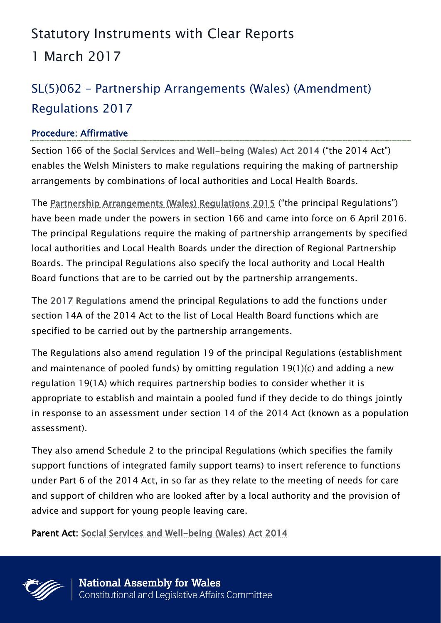### Statutory Instruments with Clear Reports

1 March 2017

# SL(5)062 – Partnership Arrangements (Wales) (Amendment) Regulations 2017

#### Procedure: Affirmative

Section 166 of the [Social Services and Well-being \(Wales\) Act 2014](http://www.legislation.gov.uk/anaw/2014/4/contents) ("the 2014 Act") enables the Welsh Ministers to make regulations requiring the making of partnership arrangements by combinations of local authorities and Local Health Boards.

The [Partnership Arrangements \(Wales\) Regulations 2015](http://senedd.assembly.wales/mgIssueHistoryHome.aspx?IId=13899) ("the principal Regulations") have been made under the powers in section 166 and came into force on 6 April 2016. The principal Regulations require the making of partnership arrangements by specified local authorities and Local Health Boards under the direction of Regional Partnership Boards. The principal Regulations also specify the local authority and Local Health Board functions that are to be carried out by the partnership arrangements.

The [2017 Regulations](http://senedd.assembly.wales/mgIssueHistoryHome.aspx?IId=17234) amend the principal Regulations to add the functions under section 14A of the 2014 Act to the list of Local Health Board functions which are specified to be carried out by the partnership arrangements.

The Regulations also amend regulation 19 of the principal Regulations (establishment and maintenance of pooled funds) by omitting regulation 19(1)(c) and adding a new regulation 19(1A) which requires partnership bodies to consider whether it is appropriate to establish and maintain a pooled fund if they decide to do things jointly in response to an assessment under section 14 of the 2014 Act (known as a population assessment).

They also amend Schedule 2 to the principal Regulations (which specifies the family support functions of integrated family support teams) to insert reference to functions under Part 6 of the 2014 Act, in so far as they relate to the meeting of needs for care and support of children who are looked after by a local authority and the provision of advice and support for young people leaving care.

Parent Act: [Social Services and Well-being \(Wales\) Act 2014](http://www.legislation.gov.uk/anaw/2014/4/contents)

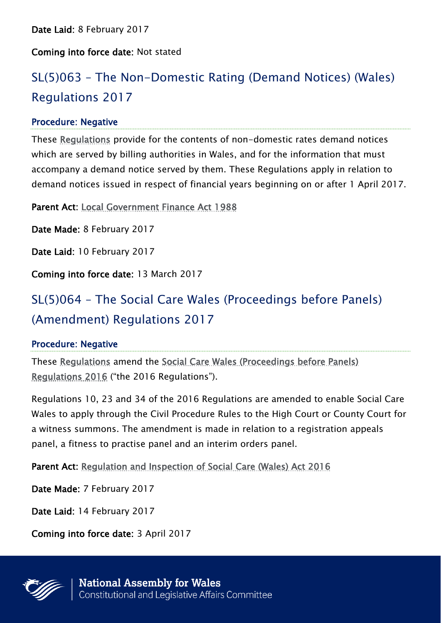#### Coming into force date: Not stated

# SL(5)063 – The Non-Domestic Rating (Demand Notices) (Wales) Regulations 2017

#### Procedure: Negative

These [Regulations](http://www.senedd.assembly.wales/mgIssueHistoryHome.aspx?IId=17266) provide for the contents of non-domestic rates demand notices which are served by billing authorities in Wales, and for the information that must accompany a demand notice served by them. These Regulations apply in relation to demand notices issued in respect of financial years beginning on or after 1 April 2017.

Parent Act: [Local Government Finance Act 1988](http://www.legislation.gov.uk/ukpga/1988/41/contents)

Date Made: 8 February 2017

Date Laid: 10 February 2017

Coming into force date: 13 March 2017

## SL(5)064 – The Social Care Wales (Proceedings before Panels) (Amendment) Regulations 2017

#### Procedure: Negative

These [Regulations](http://www.senedd.assembly.wales/mgIssueHistoryHome.aspx?IId=17273) amend the [Social Care Wales \(Proceedings before Panels\)](http://senedd.assembly.wales/mgIssueHistoryHome.aspx?IId=16520)  [Regulations 2016](http://senedd.assembly.wales/mgIssueHistoryHome.aspx?IId=16520) ("the 2016 Regulations").

Regulations 10, 23 and 34 of the 2016 Regulations are amended to enable Social Care Wales to apply through the Civil Procedure Rules to the High Court or County Court for a witness summons. The amendment is made in relation to a registration appeals panel, a fitness to practise panel and an interim orders panel.

Parent Act: [Regulation and Inspection of Social Care \(Wales\) Act 2016](http://www.legislation.gov.uk/anaw/2016/2/contents)

Date Made: 7 February 2017

Date Laid: 14 February 2017

Coming into force date: 3 April 2017